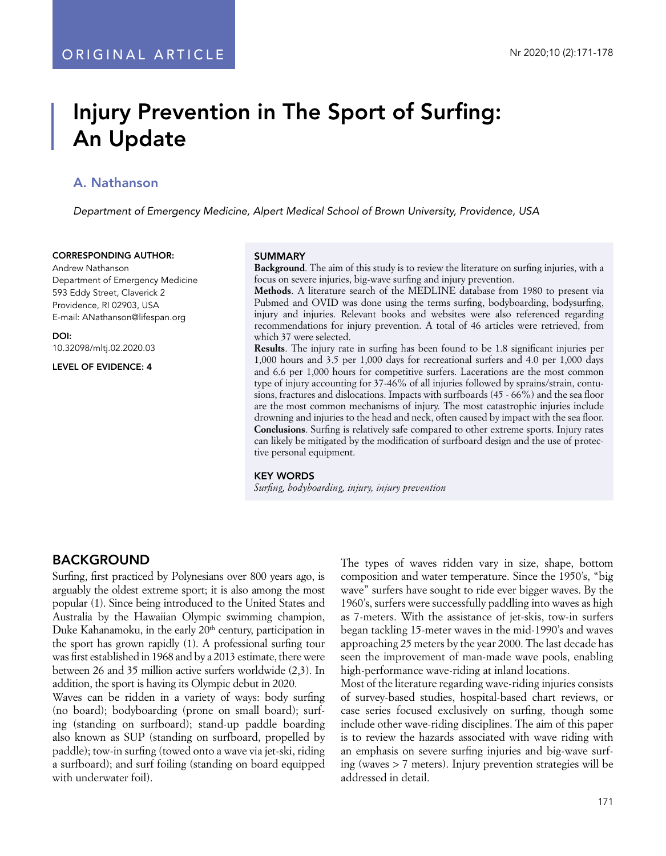# Injury Prevention in The Sport of Surfing: An Update

## A. Nathanson

*Department of Emergency Medicine, Alpert Medical School of Brown University, Providence, USA*

#### CORRESPONDING AUTHOR:

Andrew Nathanson Department of Emergency Medicine 593 Eddy Street, Claverick 2 Providence, RI 02903, USA E-mail: ANathanson@lifespan.org

DOI:

10.32098/mltj.02.2020.03

LEVEL OF EVIDENCE: 4

#### SUMMARY

**Background**. The aim of this study is to review the literature on surfing injuries, with a focus on severe injuries, big-wave surfing and injury prevention.

**Methods**. A literature search of the MEDLINE database from 1980 to present via Pubmed and OVID was done using the terms surfing, bodyboarding, bodysurfing, injury and injuries. Relevant books and websites were also referenced regarding recommendations for injury prevention. A total of 46 articles were retrieved, from which 37 were selected.

**Results**. The injury rate in surfing has been found to be 1.8 significant injuries per 1,000 hours and 3.5 per 1,000 days for recreational surfers and 4.0 per 1,000 days and 6.6 per 1,000 hours for competitive surfers. Lacerations are the most common type of injury accounting for 37-46% of all injuries followed by sprains/strain, contusions, fractures and dislocations. Impacts with surfboards (45 - 66%) and the sea floor are the most common mechanisms of injury. The most catastrophic injuries include drowning and injuries to the head and neck, often caused by impact with the sea floor. **Conclusions**. Surfing is relatively safe compared to other extreme sports. Injury rates can likely be mitigated by the modification of surfboard design and the use of protective personal equipment.

#### KEY WORDS

*Surfing, bodyboarding, injury, injury prevention*

### BACKGROUND

Surfing, first practiced by Polynesians over 800 years ago, is arguably the oldest extreme sport; it is also among the most popular (1). Since being introduced to the United States and Australia by the Hawaiian Olympic swimming champion, Duke Kahanamoku, in the early 20<sup>th</sup> century, participation in the sport has grown rapidly (1). A professional surfing tour was first established in 1968 and by a 2013 estimate, there were between 26 and 35 million active surfers worldwide (2,3). In addition, the sport is having its Olympic debut in 2020.

Waves can be ridden in a variety of ways: body surfing (no board); bodyboarding (prone on small board); surfing (standing on surfboard); stand-up paddle boarding also known as SUP (standing on surfboard, propelled by paddle); tow-in surfing (towed onto a wave via jet-ski, riding a surfboard); and surf foiling (standing on board equipped with underwater foil).

The types of waves ridden vary in size, shape, bottom composition and water temperature. Since the 1950's, "big wave" surfers have sought to ride ever bigger waves. By the 1960's, surfers were successfully paddling into waves as high as 7-meters. With the assistance of jet-skis, tow-in surfers began tackling 15-meter waves in the mid-1990's and waves approaching 25 meters by the year 2000. The last decade has seen the improvement of man-made wave pools, enabling high-performance wave-riding at inland locations.

Most of the literature regarding wave-riding injuries consists of survey-based studies, hospital-based chart reviews, or case series focused exclusively on surfing, though some include other wave-riding disciplines. The aim of this paper is to review the hazards associated with wave riding with an emphasis on severe surfing injuries and big-wave surfing (waves > 7 meters). Injury prevention strategies will be addressed in detail.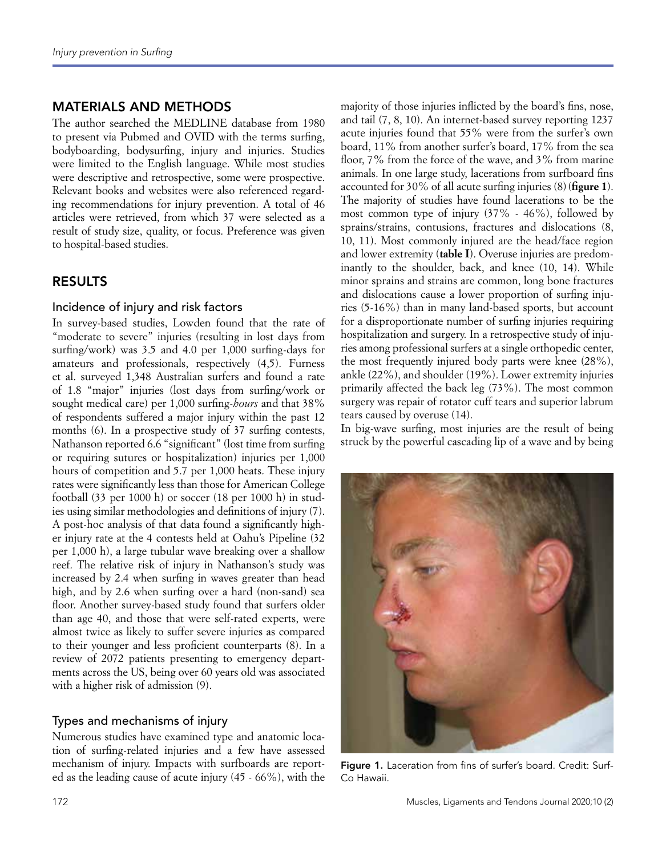## MATERIALS AND METHODS

The author searched the MEDLINE database from 1980 to present via Pubmed and OVID with the terms surfing, bodyboarding, bodysurfing, injury and injuries. Studies were limited to the English language. While most studies were descriptive and retrospective, some were prospective. Relevant books and websites were also referenced regarding recommendations for injury prevention. A total of 46 articles were retrieved, from which 37 were selected as a result of study size, quality, or focus. Preference was given to hospital-based studies.

### RESULTS

### Incidence of injury and risk factors

In survey-based studies, Lowden found that the rate of "moderate to severe" injuries (resulting in lost days from surfing/work) was 3.5 and 4.0 per 1,000 surfing-days for amateurs and professionals, respectively (4,5). Furness et al. surveyed 1,348 Australian surfers and found a rate of 1.8 "major" injuries (lost days from surfing/work or sought medical care) per 1,000 surfing-*hours* and that 38% of respondents suffered a major injury within the past 12 months (6). In a prospective study of 37 surfing contests, Nathanson reported 6.6 "significant" (lost time from surfing or requiring sutures or hospitalization) injuries per 1,000 hours of competition and 5.7 per 1,000 heats. These injury rates were significantly less than those for American College football (33 per 1000 h) or soccer (18 per 1000 h) in studies using similar methodologies and definitions of injury (7). A post-hoc analysis of that data found a significantly higher injury rate at the 4 contests held at Oahu's Pipeline (32 per 1,000 h), a large tubular wave breaking over a shallow reef. The relative risk of injury in Nathanson's study was increased by 2.4 when surfing in waves greater than head high, and by 2.6 when surfing over a hard (non-sand) sea floor. Another survey-based study found that surfers older than age 40, and those that were self-rated experts, were almost twice as likely to suffer severe injuries as compared to their younger and less proficient counterparts (8). In a review of 2072 patients presenting to emergency departments across the US, being over 60 years old was associated with a higher risk of admission (9).

### Types and mechanisms of injury

Numerous studies have examined type and anatomic location of surfing-related injuries and a few have assessed mechanism of injury. Impacts with surfboards are reported as the leading cause of acute injury (45 - 66%), with the majority of those injuries inflicted by the board's fins, nose, and tail (7, 8, 10). An internet-based survey reporting 1237 acute injuries found that 55% were from the surfer's own board, 11% from another surfer's board, 17% from the sea floor, 7% from the force of the wave, and 3% from marine animals. In one large study, lacerations from surfboard fins accounted for 30% of all acute surfing injuries (8)(**figure 1**). The majority of studies have found lacerations to be the most common type of injury (37% - 46%), followed by sprains/strains, contusions, fractures and dislocations (8, 10, 11). Most commonly injured are the head/face region and lower extremity (**table I**). Overuse injuries are predominantly to the shoulder, back, and knee (10, 14). While minor sprains and strains are common, long bone fractures and dislocations cause a lower proportion of surfing injuries (5-16%) than in many land-based sports, but account for a disproportionate number of surfing injuries requiring hospitalization and surgery. In a retrospective study of injuries among professional surfers at a single orthopedic center, the most frequently injured body parts were knee (28%), ankle (22%), and shoulder (19%). Lower extremity injuries primarily affected the back leg (73%). The most common surgery was repair of rotator cuff tears and superior labrum tears caused by overuse (14).

In big-wave surfing, most injuries are the result of being struck by the powerful cascading lip of a wave and by being



Figure 1. Laceration from fins of surfer's board. Credit: Surf-Co Hawaii.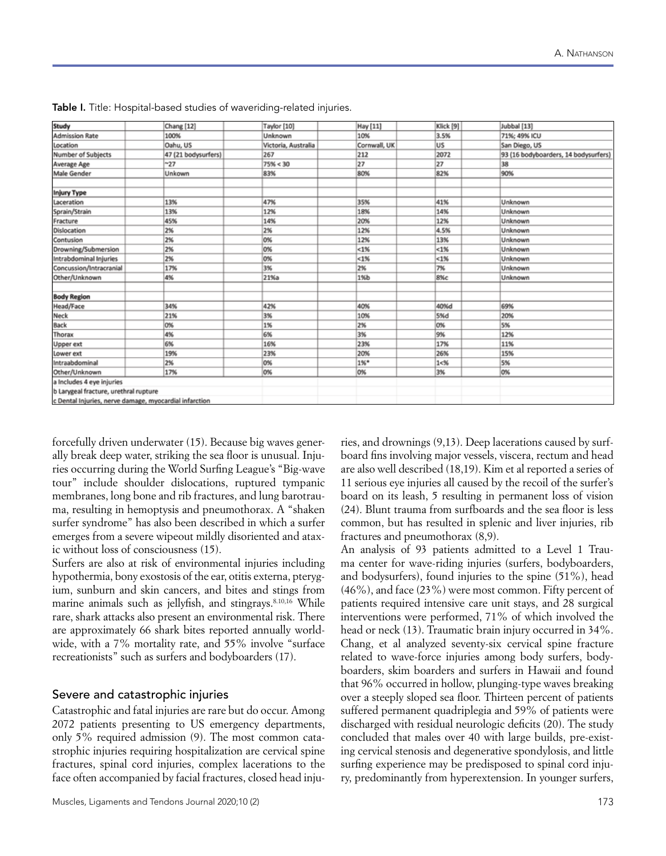| Study                                                  | Chang [12]          | Taylor [10]         | Hay [11]     | Klick [9] | Jubbal [13]                          |
|--------------------------------------------------------|---------------------|---------------------|--------------|-----------|--------------------------------------|
| <b>Admission Rate</b>                                  | 100%                | Unknown             | 10%          | 3.5%      | 71%; 49% ICU                         |
| Location                                               | Oahu, US            | Victoria, Australia | Cornwall, UK | lus       | San Diego, US                        |
| Number of Subjects                                     | 47 (21 bodysurfers) | 267                 | 212          | 2072      | 93 (16 bodyboarders, 14 bodysurfers) |
| Average Age                                            | ~127                | 75% < 30            | 27           | 27        | 38                                   |
| Male Gender                                            | Unkown              | 83%                 | 80%          | 82%       | 90%                                  |
|                                                        |                     |                     |              |           |                                      |
| <b>Injury Type</b>                                     |                     |                     |              |           |                                      |
| Laceration                                             | 13%                 | 47%                 | 35%          | 41%       | Unknown                              |
| Sprain/Strain                                          | 13%                 | 12%                 | 18%          | 14%       | Unknown                              |
| Fracture                                               | 45%                 | 14%                 | 20%          | 12%       | Unknown                              |
| Dislocation                                            | 2%                  | 2%                  | 12%          | 4.5%      | Unknown                              |
| Contusion                                              | 2%                  | 0%                  | 12%          | 13%       | Unknown                              |
| Drowning/Submersion                                    | 2%                  | 0%                  | < 1%         | $< 1\%$   | Unknown                              |
| Intrabdominal Injuries                                 | 2%                  | 0%                  | $< 1\%$      | < 1%      | Unknown                              |
| Concussion/Intracranial                                | 17%                 | 3%                  | 2%           | 7%        | Unknown                              |
| Other/Unknown                                          | 4%                  | 21%a                | 1%b          | 8%c       | Unknown                              |
|                                                        |                     |                     |              |           |                                      |
| <b>Body Region</b>                                     |                     |                     |              |           |                                      |
| Head/Face                                              | 34%                 | 42%                 | 40%          | 40%d      | 69%                                  |
| Neck                                                   | 21%                 | 3%                  | 10%          | S%d       | 20%                                  |
| Back                                                   | 0%                  | 1%                  | 2%           | 0%        | 5%                                   |
| Thorax                                                 | 4%                  | 6%                  | 3%           | 9%        | 12%                                  |
| Upper ext                                              | 6%                  | 16%                 | 23%          | 17%       | 11%                                  |
| Lower ext                                              | 19%                 | 23%                 | 20%          | 26%       | 15%                                  |
| Intraabdominal                                         | 2%                  | 0%                  | $1\%$ *      | $1 - 96$  | 5%                                   |
| Other/Unknown                                          | 17%                 | 0%                  | 0%           | 3%        | 0%                                   |
| a Includes 4 eye injuries                              |                     |                     |              |           |                                      |
| b Larygeal fracture, urethral rupture                  |                     |                     |              |           |                                      |
| c Dental Injuries, nerve damage, myocardial infarction |                     |                     |              |           |                                      |

Table I. Title: Hospital-based studies of waveriding-related injuries.

forcefully driven underwater (15). Because big waves generally break deep water, striking the sea floor is unusual. Injuries occurring during the World Surfing League's "Big-wave tour" include shoulder dislocations, ruptured tympanic membranes, long bone and rib fractures, and lung barotrauma, resulting in hemoptysis and pneumothorax. A "shaken surfer syndrome" has also been described in which a surfer emerges from a severe wipeout mildly disoriented and ataxic without loss of consciousness (15).

Surfers are also at risk of environmental injuries including hypothermia, bony exostosis of the ear, otitis externa, pterygium, sunburn and skin cancers, and bites and stings from marine animals such as jellyfish, and stingrays.<sup>8.10,16</sup> While rare, shark attacks also present an environmental risk. There are approximately 66 shark bites reported annually worldwide, with a 7% mortality rate, and 55% involve "surface recreationists" such as surfers and bodyboarders (17).

#### Severe and catastrophic injuries

Catastrophic and fatal injuries are rare but do occur. Among 2072 patients presenting to US emergency departments, only 5% required admission (9). The most common catastrophic injuries requiring hospitalization are cervical spine fractures, spinal cord injuries, complex lacerations to the face often accompanied by facial fractures, closed head inju-

ries, and drownings (9,13). Deep lacerations caused by surfboard fins involving major vessels, viscera, rectum and head are also well described (18,19). Kim et al reported a series of 11 serious eye injuries all caused by the recoil of the surfer's board on its leash, 5 resulting in permanent loss of vision (24). Blunt trauma from surfboards and the sea floor is less common, but has resulted in splenic and liver injuries, rib fractures and pneumothorax (8,9).

An analysis of 93 patients admitted to a Level 1 Trauma center for wave-riding injuries (surfers, bodyboarders, and bodysurfers), found injuries to the spine (51%), head (46%), and face (23%) were most common. Fifty percent of patients required intensive care unit stays, and 28 surgical interventions were performed, 71% of which involved the head or neck (13). Traumatic brain injury occurred in 34%. Chang, et al analyzed seventy-six cervical spine fracture related to wave-force injuries among body surfers, bodyboarders, skim boarders and surfers in Hawaii and found that 96% occurred in hollow, plunging-type waves breaking over a steeply sloped sea floor. Thirteen percent of patients suffered permanent quadriplegia and 59% of patients were discharged with residual neurologic deficits (20). The study concluded that males over 40 with large builds, pre-existing cervical stenosis and degenerative spondylosis, and little surfing experience may be predisposed to spinal cord injury, predominantly from hyperextension. In younger surfers,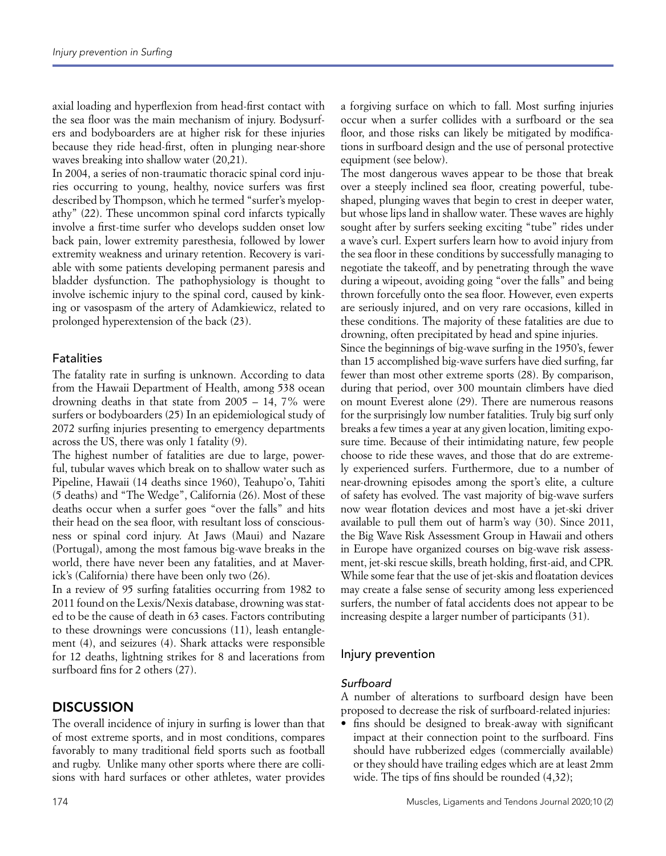axial loading and hyperflexion from head-first contact with the sea floor was the main mechanism of injury. Bodysurfers and bodyboarders are at higher risk for these injuries because they ride head-first, often in plunging near-shore waves breaking into shallow water (20,21).

In 2004, a series of non-traumatic thoracic spinal cord injuries occurring to young, healthy, novice surfers was first described by Thompson, which he termed "surfer's myelopathy" (22). These uncommon spinal cord infarcts typically involve a first-time surfer who develops sudden onset low back pain, lower extremity paresthesia, followed by lower extremity weakness and urinary retention. Recovery is variable with some patients developing permanent paresis and bladder dysfunction. The pathophysiology is thought to involve ischemic injury to the spinal cord, caused by kinking or vasospasm of the artery of Adamkiewicz, related to prolonged hyperextension of the back (23).

### **Fatalities**

The fatality rate in surfing is unknown. According to data from the Hawaii Department of Health, among 538 ocean drowning deaths in that state from 2005 – 14, 7% were surfers or bodyboarders (25) In an epidemiological study of 2072 surfing injuries presenting to emergency departments across the US, there was only 1 fatality (9).

The highest number of fatalities are due to large, powerful, tubular waves which break on to shallow water such as Pipeline, Hawaii (14 deaths since 1960), Teahupo'o, Tahiti (5 deaths) and "The Wedge", California (26). Most of these deaths occur when a surfer goes "over the falls" and hits their head on the sea floor, with resultant loss of consciousness or spinal cord injury. At Jaws (Maui) and Nazare (Portugal), among the most famous big-wave breaks in the world, there have never been any fatalities, and at Maverick's (California) there have been only two (26).

In a review of 95 surfing fatalities occurring from 1982 to 2011 found on the Lexis/Nexis database, drowning was stated to be the cause of death in 63 cases. Factors contributing to these drownings were concussions (11), leash entanglement (4), and seizures (4). Shark attacks were responsible for 12 deaths, lightning strikes for 8 and lacerations from surfboard fins for 2 others (27).

# **DISCUSSION**

The overall incidence of injury in surfing is lower than that of most extreme sports, and in most conditions, compares favorably to many traditional field sports such as football and rugby. Unlike many other sports where there are collisions with hard surfaces or other athletes, water provides a forgiving surface on which to fall. Most surfing injuries occur when a surfer collides with a surfboard or the sea floor, and those risks can likely be mitigated by modifications in surfboard design and the use of personal protective equipment (see below).

The most dangerous waves appear to be those that break over a steeply inclined sea floor, creating powerful, tubeshaped, plunging waves that begin to crest in deeper water, but whose lips land in shallow water. These waves are highly sought after by surfers seeking exciting "tube" rides under a wave's curl. Expert surfers learn how to avoid injury from the sea floor in these conditions by successfully managing to negotiate the takeoff, and by penetrating through the wave during a wipeout, avoiding going "over the falls" and being thrown forcefully onto the sea floor. However, even experts are seriously injured, and on very rare occasions, killed in these conditions. The majority of these fatalities are due to drowning, often precipitated by head and spine injuries.

Since the beginnings of big-wave surfing in the 1950's, fewer than 15 accomplished big-wave surfers have died surfing, far fewer than most other extreme sports (28). By comparison, during that period, over 300 mountain climbers have died on mount Everest alone (29). There are numerous reasons for the surprisingly low number fatalities. Truly big surf only breaks a few times a year at any given location, limiting exposure time. Because of their intimidating nature, few people choose to ride these waves, and those that do are extremely experienced surfers. Furthermore, due to a number of near-drowning episodes among the sport's elite, a culture of safety has evolved. The vast majority of big-wave surfers now wear flotation devices and most have a jet-ski driver available to pull them out of harm's way (30). Since 2011, the Big Wave Risk Assessment Group in Hawaii and others in Europe have organized courses on big-wave risk assessment, jet-ski rescue skills, breath holding, first-aid, and CPR. While some fear that the use of jet-skis and floatation devices may create a false sense of security among less experienced surfers, the number of fatal accidents does not appear to be increasing despite a larger number of participants (31).

### Injury prevention

### *Surfboard*

A number of alterations to surfboard design have been proposed to decrease the risk of surfboard-related injuries:

• fins should be designed to break-away with significant impact at their connection point to the surfboard. Fins should have rubberized edges (commercially available) or they should have trailing edges which are at least 2mm wide. The tips of fins should be rounded (4,32);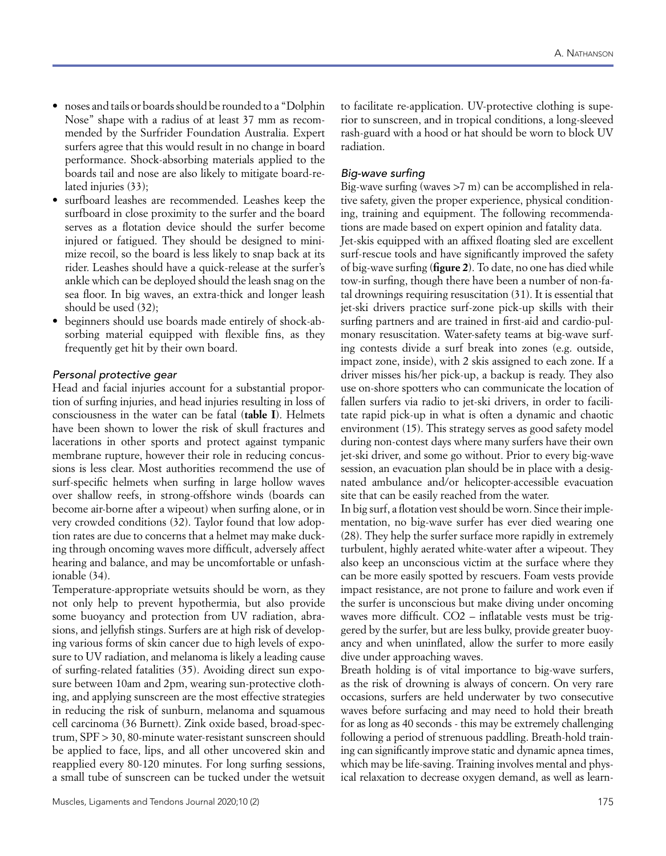- noses and tails or boards should be rounded to a "Dolphin Nose" shape with a radius of at least 37 mm as recommended by the Surfrider Foundation Australia. Expert surfers agree that this would result in no change in board performance. Shock-absorbing materials applied to the boards tail and nose are also likely to mitigate board-related injuries (33);
- surfboard leashes are recommended. Leashes keep the surfboard in close proximity to the surfer and the board serves as a flotation device should the surfer become injured or fatigued. They should be designed to minimize recoil, so the board is less likely to snap back at its rider. Leashes should have a quick-release at the surfer's ankle which can be deployed should the leash snag on the sea floor. In big waves, an extra-thick and longer leash should be used (32);
- beginners should use boards made entirely of shock-absorbing material equipped with flexible fins, as they frequently get hit by their own board.

### *Personal protective gear*

Head and facial injuries account for a substantial proportion of surfing injuries, and head injuries resulting in loss of consciousness in the water can be fatal (**table I**). Helmets have been shown to lower the risk of skull fractures and lacerations in other sports and protect against tympanic membrane rupture, however their role in reducing concussions is less clear. Most authorities recommend the use of surf-specific helmets when surfing in large hollow waves over shallow reefs, in strong-offshore winds (boards can become air-borne after a wipeout) when surfing alone, or in very crowded conditions (32). Taylor found that low adoption rates are due to concerns that a helmet may make ducking through oncoming waves more difficult, adversely affect hearing and balance, and may be uncomfortable or unfashionable (34).

Temperature-appropriate wetsuits should be worn, as they not only help to prevent hypothermia, but also provide some buoyancy and protection from UV radiation, abrasions, and jellyfish stings. Surfers are at high risk of developing various forms of skin cancer due to high levels of exposure to UV radiation, and melanoma is likely a leading cause of surfing-related fatalities (35). Avoiding direct sun exposure between 10am and 2pm, wearing sun-protective clothing, and applying sunscreen are the most effective strategies in reducing the risk of sunburn, melanoma and squamous cell carcinoma (36 Burnett). Zink oxide based, broad-spectrum, SPF > 30, 80-minute water-resistant sunscreen should be applied to face, lips, and all other uncovered skin and reapplied every 80-120 minutes. For long surfing sessions, a small tube of sunscreen can be tucked under the wetsuit to facilitate re-application. UV-protective clothing is superior to sunscreen, and in tropical conditions, a long-sleeved rash-guard with a hood or hat should be worn to block UV radiation.

### *Big-wave surfing*

Big-wave surfing (waves >7 m) can be accomplished in relative safety, given the proper experience, physical conditioning, training and equipment. The following recommendations are made based on expert opinion and fatality data. Jet-skis equipped with an affixed floating sled are excellent surf-rescue tools and have significantly improved the safety of big-wave surfing (**figure 2**). To date, no one has died while tow-in surfing, though there have been a number of non-fatal drownings requiring resuscitation (31). It is essential that jet-ski drivers practice surf-zone pick-up skills with their surfing partners and are trained in first-aid and cardio-pulmonary resuscitation. Water-safety teams at big-wave surfing contests divide a surf break into zones (e.g. outside, impact zone, inside), with 2 skis assigned to each zone. If a driver misses his/her pick-up, a backup is ready. They also use on-shore spotters who can communicate the location of fallen surfers via radio to jet-ski drivers, in order to facilitate rapid pick-up in what is often a dynamic and chaotic environment (15). This strategy serves as good safety model during non-contest days where many surfers have their own jet-ski driver, and some go without. Prior to every big-wave session, an evacuation plan should be in place with a designated ambulance and/or helicopter-accessible evacuation site that can be easily reached from the water.

In big surf, a flotation vest should be worn. Since their implementation, no big-wave surfer has ever died wearing one (28). They help the surfer surface more rapidly in extremely turbulent, highly aerated white-water after a wipeout. They also keep an unconscious victim at the surface where they can be more easily spotted by rescuers. Foam vests provide impact resistance, are not prone to failure and work even if the surfer is unconscious but make diving under oncoming waves more difficult. CO2 – inflatable vests must be triggered by the surfer, but are less bulky, provide greater buoyancy and when uninflated, allow the surfer to more easily dive under approaching waves.

Breath holding is of vital importance to big-wave surfers, as the risk of drowning is always of concern. On very rare occasions, surfers are held underwater by two consecutive waves before surfacing and may need to hold their breath for as long as 40 seconds - this may be extremely challenging following a period of strenuous paddling. Breath-hold training can significantly improve static and dynamic apnea times, which may be life-saving. Training involves mental and physical relaxation to decrease oxygen demand, as well as learn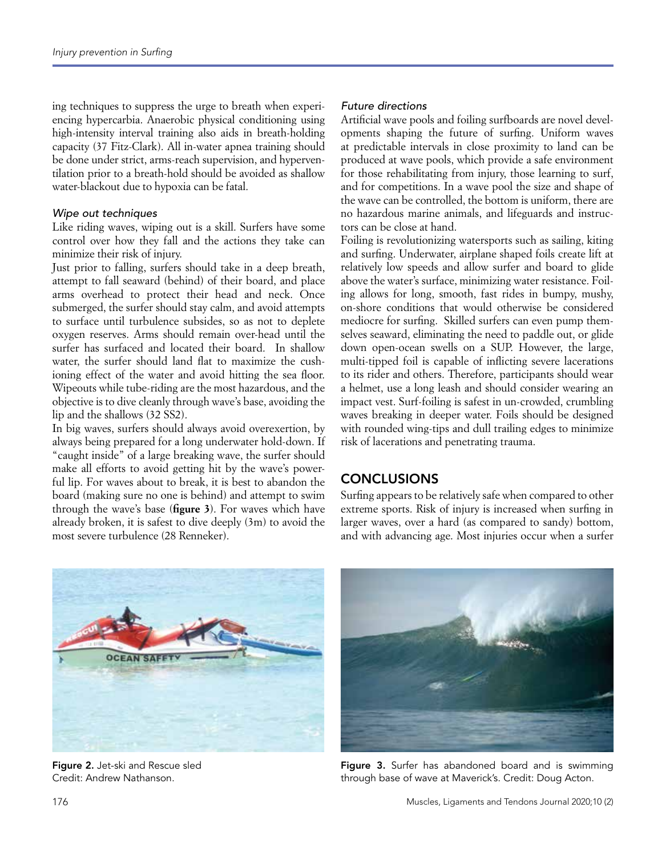ing techniques to suppress the urge to breath when experiencing hypercarbia. Anaerobic physical conditioning using high-intensity interval training also aids in breath-holding capacity (37 Fitz-Clark). All in-water apnea training should be done under strict, arms-reach supervision, and hyperventilation prior to a breath-hold should be avoided as shallow water-blackout due to hypoxia can be fatal.

#### *Wipe out techniques*

Like riding waves, wiping out is a skill. Surfers have some control over how they fall and the actions they take can minimize their risk of injury.

Just prior to falling, surfers should take in a deep breath, attempt to fall seaward (behind) of their board, and place arms overhead to protect their head and neck. Once submerged, the surfer should stay calm, and avoid attempts to surface until turbulence subsides, so as not to deplete oxygen reserves. Arms should remain over-head until the surfer has surfaced and located their board. In shallow water, the surfer should land flat to maximize the cushioning effect of the water and avoid hitting the sea floor. Wipeouts while tube-riding are the most hazardous, and the objective is to dive cleanly through wave's base, avoiding the lip and the shallows (32 SS2).

In big waves, surfers should always avoid overexertion, by always being prepared for a long underwater hold-down. If "caught inside" of a large breaking wave, the surfer should make all efforts to avoid getting hit by the wave's powerful lip. For waves about to break, it is best to abandon the board (making sure no one is behind) and attempt to swim through the wave's base (**figure 3**). For waves which have already broken, it is safest to dive deeply (3m) to avoid the most severe turbulence (28 Renneker).

### *Future directions*

Artificial wave pools and foiling surfboards are novel developments shaping the future of surfing. Uniform waves at predictable intervals in close proximity to land can be produced at wave pools, which provide a safe environment for those rehabilitating from injury, those learning to surf, and for competitions. In a wave pool the size and shape of the wave can be controlled, the bottom is uniform, there are no hazardous marine animals, and lifeguards and instructors can be close at hand.

Foiling is revolutionizing watersports such as sailing, kiting and surfing. Underwater, airplane shaped foils create lift at relatively low speeds and allow surfer and board to glide above the water's surface, minimizing water resistance. Foiling allows for long, smooth, fast rides in bumpy, mushy, on-shore conditions that would otherwise be considered mediocre for surfing. Skilled surfers can even pump themselves seaward, eliminating the need to paddle out, or glide down open-ocean swells on a SUP. However, the large, multi-tipped foil is capable of inflicting severe lacerations to its rider and others. Therefore, participants should wear a helmet, use a long leash and should consider wearing an impact vest. Surf-foiling is safest in un-crowded, crumbling waves breaking in deeper water. Foils should be designed with rounded wing-tips and dull trailing edges to minimize risk of lacerations and penetrating trauma.

# **CONCLUSIONS**

Surfing appears to be relatively safe when compared to other extreme sports. Risk of injury is increased when surfing in larger waves, over a hard (as compared to sandy) bottom, and with advancing age. Most injuries occur when a surfer



Figure 2. Jet-ski and Rescue sled Credit: Andrew Nathanson.



Figure 3. Surfer has abandoned board and is swimming through base of wave at Maverick's. Credit: Doug Acton.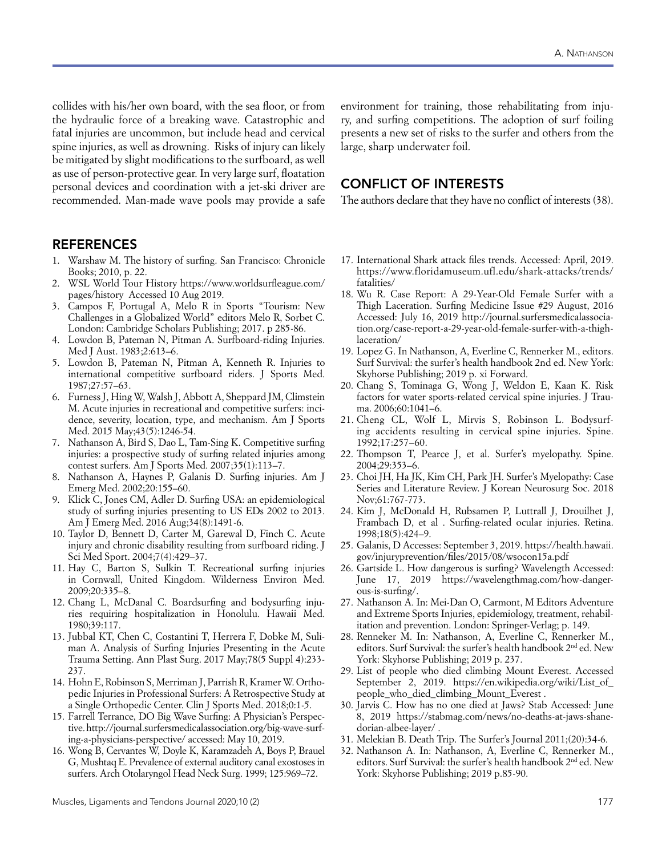collides with his/her own board, with the sea floor, or from the hydraulic force of a breaking wave. Catastrophic and fatal injuries are uncommon, but include head and cervical spine injuries, as well as drowning. Risks of injury can likely be mitigated by slight modifications to the surfboard, as well as use of person-protective gear. In very large surf, floatation personal devices and coordination with a jet-ski driver are recommended. Man-made wave pools may provide a safe

### **REFERENCES**

- 1. Warshaw M. The history of surfing. San Francisco: Chronicle Books; 2010, p. 22.
- 2. WSL World Tour History https://www.worldsurfleague.com/ pages/history Accessed 10 Aug 2019.
- 3. Campos F, Portugal A, Melo R in Sports "Tourism: New Challenges in a Globalized World" editors Melo R, Sorbet C. London: Cambridge Scholars Publishing; 2017. p 285-86.
- 4. Lowdon B, Pateman N, Pitman A. Surfboard-riding Injuries. Med J Aust. 1983;2:613–6.
- 5. Lowdon B, Pateman N, Pitman A, Kenneth R. Injuries to international competitive surfboard riders. J Sports Med. 1987;27:57–63.
- 6. Furness J, Hing W, Walsh J, Abbott A, Sheppard JM, Climstein M. Acute injuries in recreational and competitive surfers: incidence, severity, location, type, and mechanism. Am J Sports Med. 2015 May;43(5):1246-54.
- 7. Nathanson A, Bird S, Dao L, Tam-Sing K. Competitive surfing injuries: a prospective study of surfing related injuries among contest surfers. Am J Sports Med. 2007;35(1):113–7.
- 8. Nathanson A, Haynes P, Galanis D. Surfing injuries. Am J Emerg Med. 2002;20:155–60.
- 9. Klick C, Jones CM, Adler D. Surfing USA: an epidemiological study of surfing injuries presenting to US EDs 2002 to 2013. Am J Emerg Med. 2016 Aug;34(8):1491-6.
- 10. Taylor D, Bennett D, Carter M, Garewal D, Finch C. Acute injury and chronic disability resulting from surfboard riding. J Sci Med Sport. 2004;7(4):429–37.
- 11. Hay C, Barton S, Sulkin T. Recreational surfing injuries in Cornwall, United Kingdom. Wilderness Environ Med. 2009;20:335–8.
- 12. Chang L, McDanal C. Boardsurfing and bodysurfing injuries requiring hospitalization in Honolulu. Hawaii Med. 1980;39:117.
- 13. Jubbal KT, Chen C, Costantini T, Herrera F, Dobke M, Suliman A. Analysis of Surfing Injuries Presenting in the Acute Trauma Setting. Ann Plast Surg. 2017 May;78(5 Suppl 4):233- 237.
- 14. Hohn E, Robinson S, Merriman J, Parrish R, Kramer W. Orthopedic Injuries in Professional Surfers: A Retrospective Study at a Single Orthopedic Center. Clin J Sports Med. 2018;0:1-5.
- 15. Farrell Terrance, DO Big Wave Surfing: A Physician's Perspective. http://journal.surfersmedicalassociation.org/big-wave-surfing-a-physicians-perspective/ accessed: May 10, 2019.
- 16. Wong B, Cervantes W, Doyle K, Karamzadeh A, Boys P, Brauel G, Mushtaq E. Prevalence of external auditory canal exostoses in surfers. Arch Otolaryngol Head Neck Surg. 1999; 125:969–72.

environment for training, those rehabilitating from injury, and surfing competitions. The adoption of surf foiling presents a new set of risks to the surfer and others from the large, sharp underwater foil.

### CONFLICT OF INTERESTS

The authors declare that they have no conflict of interests (38).

- 17. International Shark attack files trends. Accessed: April, 2019. https://www.floridamuseum.ufl.edu/shark-attacks/trends/ fatalities/
- 18. Wu R. Case Report: A 29-Year-Old Female Surfer with a Thigh Laceration. Surfing Medicine Issue #29 August, 2016 Accessed: July 16, 2019 http://journal.surfersmedicalassociation.org/case-report-a-29-year-old-female-surfer-with-a-thighlaceration/
- 19. Lopez G. In Nathanson, A, Everline C, Rennerker M., editors. Surf Survival: the surfer's health handbook 2nd ed. New York: Skyhorse Publishing; 2019 p. xi Forward.
- 20. Chang S, Tominaga G, Wong J, Weldon E, Kaan K. Risk factors for water sports-related cervical spine injuries. J Trauma. 2006;60:1041–6.
- 21. Cheng CL, Wolf L, Mirvis S, Robinson L. Bodysurfing accidents resulting in cervical spine injuries. Spine. 1992;17:257–60.
- 22. Thompson T, Pearce J, et al. Surfer's myelopathy. Spine. 2004;29:353–6.
- 23. Choi JH, Ha JK, Kim CH, Park JH. Surfer's Myelopathy: Case Series and Literature Review. J Korean Neurosurg Soc. 2018 Nov;61:767-773.
- 24. Kim J, McDonald H, Rubsamen P, Luttrall J, Drouilhet J, Frambach D, et al . Surfing-related ocular injuries. Retina. 1998;18(5):424–9.
- 25. Galanis, D Accesses: September 3, 2019. https://health.hawaii. gov/injuryprevention/files/2015/08/wsocon15a.pdf
- 26. Gartside L. How dangerous is surfing? Wavelength Accessed: June 17, 2019 https://wavelengthmag.com/how-dangerous-is-surfing/.
- 27. Nathanson A. In: Mei-Dan O, Carmont, M Editors Adventure and Extreme Sports Injuries, epidemiology, treatment, rehabilitation and prevention. London: Springer-Verlag; p. 149.
- 28. Renneker M. In: Nathanson, A, Everline C, Rennerker M., editors. Surf Survival: the surfer's health handbook 2nd ed. New York: Skyhorse Publishing; 2019 p. 237.
- 29. List of people who died climbing Mount Everest. Accessed September 2, 2019. https://en.wikipedia.org/wiki/List\_of\_ people\_who\_died\_climbing\_Mount\_Everest .
- 30. Jarvis C. How has no one died at Jaws? Stab Accessed: June 8, 2019 https://stabmag.com/news/no-deaths-at-jaws-shanedorian-albee-layer/ .
- 31. Melekian B. Death Trip. The Surfer's Journal 2011;(20):34-6.
- 32. Nathanson A. In: Nathanson, A, Everline C, Rennerker M., editors. Surf Survival: the surfer's health handbook 2nd ed. New York: Skyhorse Publishing; 2019 p.85-90.